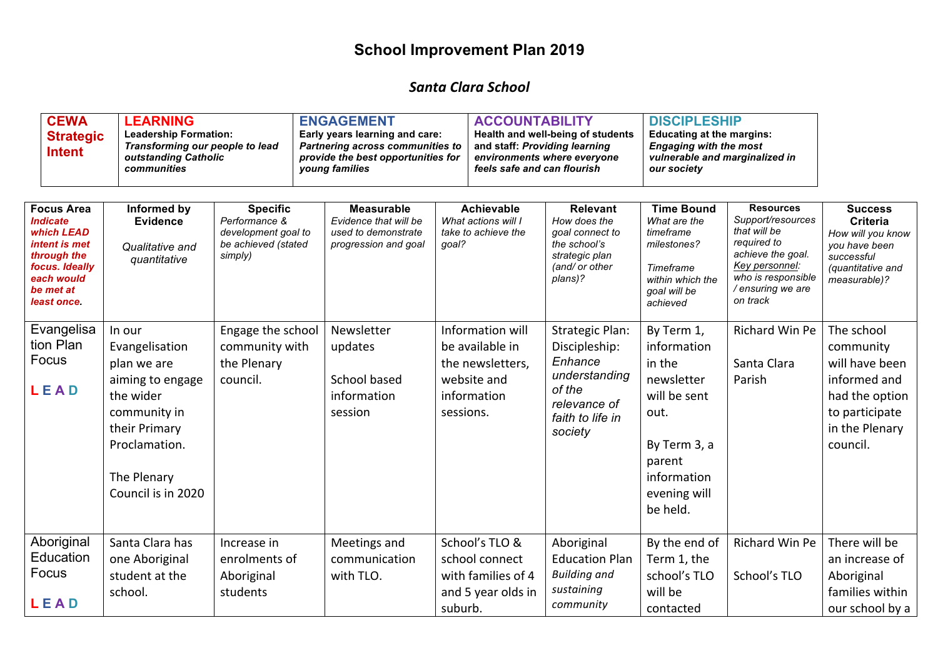## **School Improvement Plan 2019**

## *Santa Clara School*

| <b>CEWA</b><br><b>Strategic</b><br><b>Intent</b> | <b>LEARNING</b><br><b>Leadership Formation:</b><br>Transforming our people to lead<br>outstanding Catholic<br>communities |                 | <b>ENGAGEMENT</b><br>Early years learning and care:<br><b>Partnering across communities to</b><br>provide the best opportunities for<br>young families | <b>ACCOUNTABILITY</b><br>feels safe and can flourish | Health and well-being of students<br>and staff: Providing learning<br>environments where everyone | <b>DISCIPLESHIP</b><br><b>Educating at the margins:</b><br><b>Engaging with the most</b><br>vulnerable and marginalized in<br>our society |                   |                |
|--------------------------------------------------|---------------------------------------------------------------------------------------------------------------------------|-----------------|--------------------------------------------------------------------------------------------------------------------------------------------------------|------------------------------------------------------|---------------------------------------------------------------------------------------------------|-------------------------------------------------------------------------------------------------------------------------------------------|-------------------|----------------|
| <b>Focus Area</b>                                | Informed by                                                                                                               | <b>Specific</b> | Measurable                                                                                                                                             | Achievable                                           | <b>Relevant</b>                                                                                   | <b>Time Bound</b>                                                                                                                         | <b>Resources</b>  | <b>Success</b> |
| <i><b>Indicate</b></i>                           | <b>Evidence</b>                                                                                                           | Performance &   | Evidence that will be                                                                                                                                  | What actions will I                                  | How does the                                                                                      | What are the                                                                                                                              | Support/resources | Criteria       |

| <i><b>Indicate</b></i><br>which LEAD<br>intent is met<br>through the<br>focus. Ideally<br>each would<br>be met at<br>least once. | <b>Evidence</b><br>Qualitative and<br>quantitative                                                                                                              | Performance &<br>development goal to<br>be achieved (stated<br>simply) | Evidence that will be<br>used to demonstrate<br>progression and goal | What actions will I<br>take to achieve the<br>goal?                                                | How does the<br>goal connect to<br>the school's<br>strategic plan<br>(and/ or other<br>plans)?                               | What are the<br>timeframe<br>milestones?<br>Timeframe<br>within which the<br>goal will be<br>achieved                                          | Support/resources<br>that will be<br>required to<br>achieve the goal.<br>Key personnel:<br>who is responsible<br>/ ensuring we are<br>on track | Criteria<br>How will you know<br>you have been<br>successful<br>(quantitative and<br>measurable)?                           |
|----------------------------------------------------------------------------------------------------------------------------------|-----------------------------------------------------------------------------------------------------------------------------------------------------------------|------------------------------------------------------------------------|----------------------------------------------------------------------|----------------------------------------------------------------------------------------------------|------------------------------------------------------------------------------------------------------------------------------|------------------------------------------------------------------------------------------------------------------------------------------------|------------------------------------------------------------------------------------------------------------------------------------------------|-----------------------------------------------------------------------------------------------------------------------------|
| Evangelisa<br>tion Plan<br>Focus<br>LEAD                                                                                         | In our<br>Evangelisation<br>plan we are<br>aiming to engage<br>the wider<br>community in<br>their Primary<br>Proclamation.<br>The Plenary<br>Council is in 2020 | Engage the school<br>community with<br>the Plenary<br>council.         | Newsletter<br>updates<br>School based<br>information<br>session      | Information will<br>be available in<br>the newsletters,<br>website and<br>information<br>sessions. | <b>Strategic Plan:</b><br>Discipleship:<br>Enhance<br>understanding<br>of the<br>relevance of<br>faith to life in<br>society | By Term 1,<br>information<br>in the<br>newsletter<br>will be sent<br>out.<br>By Term 3, a<br>parent<br>information<br>evening will<br>be held. | Richard Win Pe<br>Santa Clara<br>Parish                                                                                                        | The school<br>community<br>will have been<br>informed and<br>had the option<br>to participate<br>in the Plenary<br>council. |
| Aboriginal<br>Education<br>Focus<br>LEAD                                                                                         | Santa Clara has<br>one Aboriginal<br>student at the<br>school.                                                                                                  | Increase in<br>enrolments of<br>Aboriginal<br>students                 | Meetings and<br>communication<br>with TLO.                           | School's TLO &<br>school connect<br>with families of 4<br>and 5 year olds in<br>suburb.            | Aboriginal<br><b>Education Plan</b><br><b>Building and</b><br>sustaining<br>community                                        | By the end of<br>Term 1, the<br>school's TLO<br>will be<br>contacted                                                                           | Richard Win Pe<br>School's TLO                                                                                                                 | There will be<br>an increase of<br>Aboriginal<br>families within<br>our school by a                                         |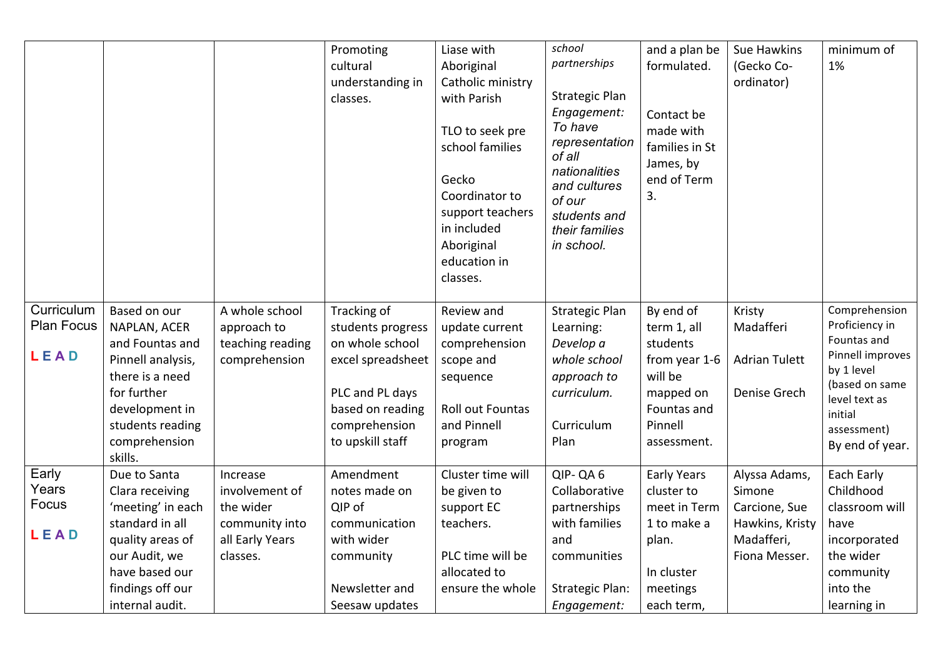|                                         |                                                                                                                                                                          |                                                                                          | Promoting<br>cultural<br>understanding in<br>classes.                                                                                                | Liase with<br>Aboriginal<br>Catholic ministry<br>with Parish<br>TLO to seek pre<br>school families<br>Gecko<br>Coordinator to<br>support teachers<br>in included<br>Aboriginal<br>education in<br>classes. | school<br>partnerships<br><b>Strategic Plan</b><br>Engagement:<br>To have<br>representation<br>of all<br>nationalities<br>and cultures<br>of our<br>students and<br>their families<br>in school. | and a plan be<br>formulated.<br>Contact be<br>made with<br>families in St<br>James, by<br>end of Term<br>3.            | Sue Hawkins<br>(Gecko Co-<br>ordinator)                                                    | minimum of<br>1%                                                                                                                                                 |
|-----------------------------------------|--------------------------------------------------------------------------------------------------------------------------------------------------------------------------|------------------------------------------------------------------------------------------|------------------------------------------------------------------------------------------------------------------------------------------------------|------------------------------------------------------------------------------------------------------------------------------------------------------------------------------------------------------------|--------------------------------------------------------------------------------------------------------------------------------------------------------------------------------------------------|------------------------------------------------------------------------------------------------------------------------|--------------------------------------------------------------------------------------------|------------------------------------------------------------------------------------------------------------------------------------------------------------------|
| Curriculum<br><b>Plan Focus</b><br>LEAD | Based on our<br>NAPLAN, ACER<br>and Fountas and<br>Pinnell analysis,<br>there is a need<br>for further<br>development in<br>students reading<br>comprehension<br>skills. | A whole school<br>approach to<br>teaching reading<br>comprehension                       | Tracking of<br>students progress<br>on whole school<br>excel spreadsheet<br>PLC and PL days<br>based on reading<br>comprehension<br>to upskill staff | Review and<br>update current<br>comprehension<br>scope and<br>sequence<br><b>Roll out Fountas</b><br>and Pinnell<br>program                                                                                | <b>Strategic Plan</b><br>Learning:<br>Develop a<br>whole school<br>approach to<br>curriculum.<br>Curriculum<br>Plan                                                                              | By end of<br>term 1, all<br>students<br>from year 1-6<br>will be<br>mapped on<br>Fountas and<br>Pinnell<br>assessment. | Kristy<br>Madafferi<br><b>Adrian Tulett</b><br>Denise Grech                                | Comprehension<br>Proficiency in<br>Fountas and<br>Pinnell improves<br>by 1 level<br>(based on same<br>level text as<br>initial<br>assessment)<br>By end of year. |
| Early<br>Years<br>Focus<br>LEAD         | Due to Santa<br>Clara receiving<br>'meeting' in each<br>standard in all<br>quality areas of<br>our Audit, we<br>have based our<br>findings off our<br>internal audit.    | Increase<br>involvement of<br>the wider<br>community into<br>all Early Years<br>classes. | Amendment<br>notes made on<br>QIP of<br>communication<br>with wider<br>community<br>Newsletter and<br>Seesaw updates                                 | Cluster time will<br>be given to<br>support EC<br>teachers.<br>PLC time will be<br>allocated to<br>ensure the whole                                                                                        | QIP-QA6<br>Collaborative<br>partnerships<br>with families<br>and<br>communities<br><b>Strategic Plan:</b><br>Engagement:                                                                         | <b>Early Years</b><br>cluster to<br>meet in Term<br>1 to make a<br>plan.<br>In cluster<br>meetings<br>each term,       | Alyssa Adams,<br>Simone<br>Carcione, Sue<br>Hawkins, Kristy<br>Madafferi,<br>Fiona Messer. | Each Early<br>Childhood<br>classroom will<br>have<br>incorporated<br>the wider<br>community<br>into the<br>learning in                                           |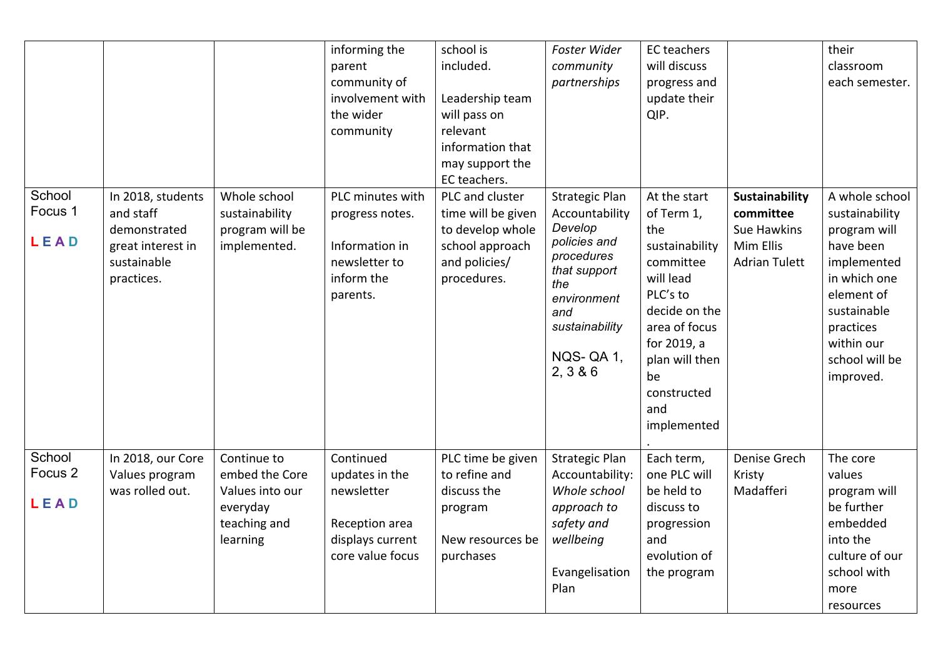|                                      |                                                                                                  |                                                                                          | informing the<br>parent<br>community of<br>involvement with<br>the wider<br>community               | school is<br>included.<br>Leadership team<br>will pass on<br>relevant<br>information that<br>may support the<br>EC teachers. | Foster Wider<br>community<br>partnerships                                                                                                                               | EC teachers<br>will discuss<br>progress and<br>update their<br>QIP.                                                                                                                                     |                                                                                        | their<br>classroom<br>each semester.                                                                                                                                                |
|--------------------------------------|--------------------------------------------------------------------------------------------------|------------------------------------------------------------------------------------------|-----------------------------------------------------------------------------------------------------|------------------------------------------------------------------------------------------------------------------------------|-------------------------------------------------------------------------------------------------------------------------------------------------------------------------|---------------------------------------------------------------------------------------------------------------------------------------------------------------------------------------------------------|----------------------------------------------------------------------------------------|-------------------------------------------------------------------------------------------------------------------------------------------------------------------------------------|
| School<br>Focus 1<br>LEAD            | In 2018, students<br>and staff<br>demonstrated<br>great interest in<br>sustainable<br>practices. | Whole school<br>sustainability<br>program will be<br>implemented.                        | PLC minutes with<br>progress notes.<br>Information in<br>newsletter to<br>inform the<br>parents.    | PLC and cluster<br>time will be given<br>to develop whole<br>school approach<br>and policies/<br>procedures.                 | <b>Strategic Plan</b><br>Accountability<br>Develop<br>policies and<br>procedures<br>that support<br>the<br>environment<br>and<br>sustainability<br>NQS-QA1,<br>2, 3 & 6 | At the start<br>of Term 1,<br>the<br>sustainability<br>committee<br>will lead<br>PLC's to<br>decide on the<br>area of focus<br>for 2019, a<br>plan will then<br>be<br>constructed<br>and<br>implemented | Sustainability<br>committee<br><b>Sue Hawkins</b><br>Mim Ellis<br><b>Adrian Tulett</b> | A whole school<br>sustainability<br>program will<br>have been<br>implemented<br>in which one<br>element of<br>sustainable<br>practices<br>within our<br>school will be<br>improved. |
| School<br>Focus <sub>2</sub><br>LEAD | In 2018, our Core<br>Values program<br>was rolled out.                                           | Continue to<br>embed the Core<br>Values into our<br>everyday<br>teaching and<br>learning | Continued<br>updates in the<br>newsletter<br>Reception area<br>displays current<br>core value focus | PLC time be given<br>to refine and<br>discuss the<br>program<br>New resources be<br>purchases                                | <b>Strategic Plan</b><br>Accountability:<br>Whole school<br>approach to<br>safety and<br>wellbeing<br>Evangelisation<br>Plan                                            | Each term,<br>one PLC will<br>be held to<br>discuss to<br>progression<br>and<br>evolution of<br>the program                                                                                             | Denise Grech<br>Kristy<br>Madafferi                                                    | The core<br>values<br>program will<br>be further<br>embedded<br>into the<br>culture of our<br>school with<br>more<br>resources                                                      |